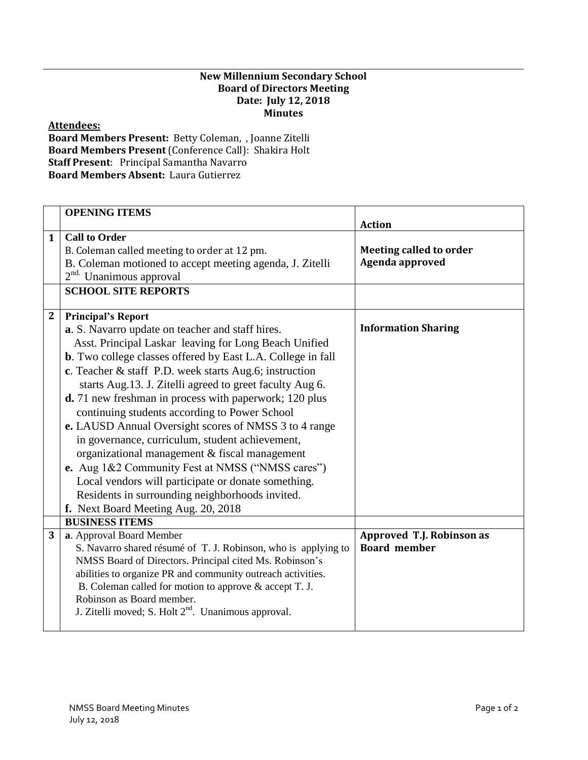## **New Millennium Secondary School Board of Directors Meeting Date: July 12, 2018 Minutes**

## **Attendees:**

**Board Members Present:** Betty Coleman, , Joanne Zitelli **Board Members Present** (Conference Call): Shakira Holt **Staff Present**: Principal Samantha Navarro **Board Members Absent:** Laura Gutierrez

|              | <b>OPENING ITEMS</b>                                                |                            |
|--------------|---------------------------------------------------------------------|----------------------------|
|              |                                                                     | <b>Action</b>              |
| $\mathbf{1}$ | <b>Call to Order</b>                                                |                            |
|              | B. Coleman called meeting to order at 12 pm.                        | Meeting called to order    |
|              | B. Coleman motioned to accept meeting agenda, J. Zitelli            | Agenda approved            |
|              | 2 <sup>nd.</sup> Unanimous approval                                 |                            |
|              | <b>SCHOOL SITE REPORTS</b>                                          |                            |
| $\mathbf{2}$ | <b>Principal's Report</b>                                           |                            |
|              | a. S. Navarro update on teacher and staff hires.                    | <b>Information Sharing</b> |
|              | Asst. Principal Laskar leaving for Long Beach Unified               |                            |
|              | <b>b</b> . Two college classes offered by East L.A. College in fall |                            |
|              | c. Teacher & staff P.D. week starts Aug.6; instruction              |                            |
|              | starts Aug. 13. J. Zitelli agreed to greet faculty Aug 6.           |                            |
|              |                                                                     |                            |
|              | d. 71 new freshman in process with paperwork; 120 plus              |                            |
|              | continuing students according to Power School                       |                            |
|              | e. LAUSD Annual Oversight scores of NMSS 3 to 4 range               |                            |
|              | in governance, curriculum, student achievement,                     |                            |
|              | organizational management & fiscal management                       |                            |
|              | e. Aug 1&2 Community Fest at NMSS ("NMSS cares")                    |                            |
|              | Local vendors will participate or donate something.                 |                            |
|              | Residents in surrounding neighborhoods invited.                     |                            |
|              | f. Next Board Meeting Aug. 20, 2018                                 |                            |
|              | <b>BUSINESS ITEMS</b>                                               |                            |
| 3            | a. Approval Board Member                                            | Approved T.J. Robinson as  |
|              | S. Navarro shared résumé of T. J. Robinson, who is applying to      | <b>Board member</b>        |
|              | NMSS Board of Directors. Principal cited Ms. Robinson's             |                            |
|              | abilities to organize PR and community outreach activities.         |                            |
|              | B. Coleman called for motion to approve & accept T. J.              |                            |
|              | Robinson as Board member.                                           |                            |
|              | J. Zitelli moved; S. Holt 2 <sup>nd</sup> . Unanimous approval.     |                            |
|              |                                                                     |                            |